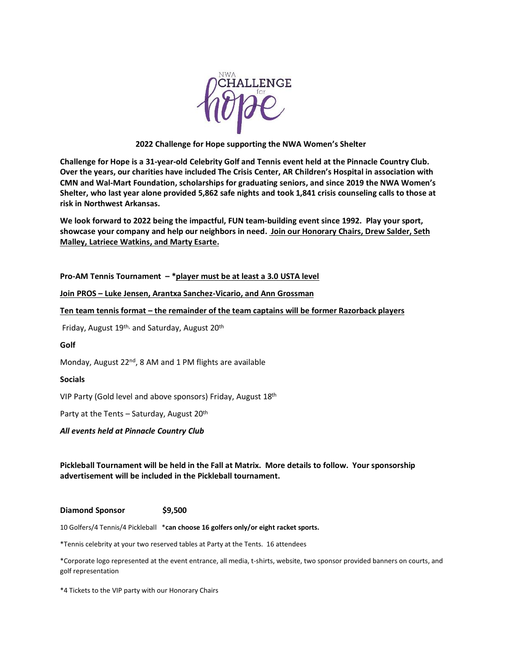

## **2022 Challenge for Hope supporting the NWA Women's Shelter**

**Challenge for Hope is a 31-year-old Celebrity Golf and Tennis event held at the Pinnacle Country Club. Over the years, our charities have included The Crisis Center, AR Children's Hospital in association with CMN and Wal-Mart Foundation, scholarships for graduating seniors, and since 2019 the NWA Women's Shelter, who last year alone provided 5,862 safe nights and took 1,841 crisis counseling calls to those at risk in Northwest Arkansas.**

**We look forward to 2022 being the impactful, FUN team-building event since 1992. Play your sport, showcase your company and help our neighbors in need. Join our Honorary Chairs, Drew Salder, Seth Malley, Latriece Watkins, and Marty Esarte.**

**Pro-AM Tennis Tournament – \*player must be at least a 3.0 USTA level**

**Join PROS – Luke Jensen, Arantxa Sanchez-Vicario, and Ann Grossman**

**Ten team tennis format – the remainder of the team captains will be former Razorback players**

Friday, August 19<sup>th,</sup> and Saturday, August 20<sup>th</sup>

### **Golf**

Monday, August 22<sup>nd</sup>, 8 AM and 1 PM flights are available

### **Socials**

VIP Party (Gold level and above sponsors) Friday, August 18th

Party at the Tents - Saturday, August 20<sup>th</sup>

*All events held at Pinnacle Country Club*

**Pickleball Tournament will be held in the Fall at Matrix. More details to follow. Your sponsorship advertisement will be included in the Pickleball tournament.** 

# **Diamond Sponsor \$9,500**

10 Golfers/4 Tennis/4 Pickleball \***can choose 16 golfers only/or eight racket sports.** 

\*Tennis celebrity at your two reserved tables at Party at the Tents. 16 attendees

\*Corporate logo represented at the event entrance, all media, t-shirts, website, two sponsor provided banners on courts, and golf representation

\*4 Tickets to the VIP party with our Honorary Chairs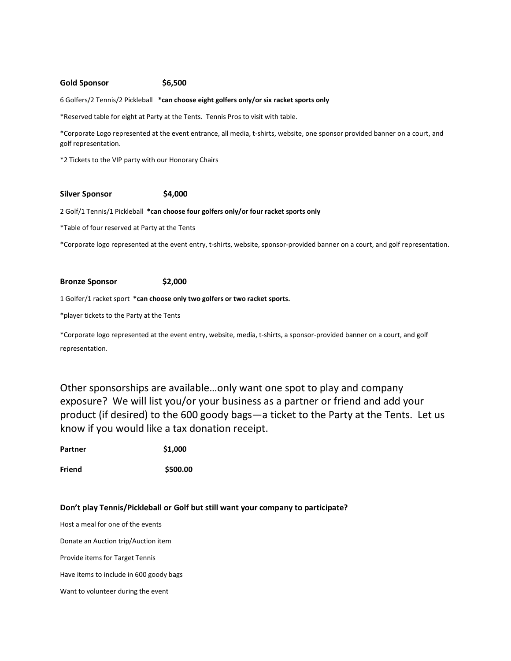### **Gold Sponsor \$6,500**

6 Golfers/2 Tennis/2 Pickleball **\*can choose eight golfers only/or six racket sports only**

\*Reserved table for eight at Party at the Tents. Tennis Pros to visit with table.

\*Corporate Logo represented at the event entrance, all media, t-shirts, website, one sponsor provided banner on a court, and golf representation.

\*2 Tickets to the VIP party with our Honorary Chairs

#### **Silver Sponsor \$4,000**

2 Golf/1 Tennis/1 Pickleball **\*can choose four golfers only/or four racket sports only**

\*Table of four reserved at Party at the Tents

\*Corporate logo represented at the event entry, t-shirts, website, sponsor-provided banner on a court, and golf representation.

#### **Bronze Sponsor \$2,000**

1 Golfer/1 racket sport **\*can choose only two golfers or two racket sports.**

\*player tickets to the Party at the Tents

\*Corporate logo represented at the event entry, website, media, t-shirts, a sponsor-provided banner on a court, and golf representation.

Other sponsorships are available…only want one spot to play and company exposure? We will list you/or your business as a partner or friend and add your product (if desired) to the 600 goody bags—a ticket to the Party at the Tents. Let us know if you would like a tax donation receipt.

| Partner | \$1,000 |
|---------|---------|
|         |         |

**Friend \$500.00**

### **Don't play Tennis/Pickleball or Golf but still want your company to participate?**

Host a meal for one of the events Donate an Auction trip/Auction item Provide items for Target Tennis Have items to include in 600 goody bags Want to volunteer during the event